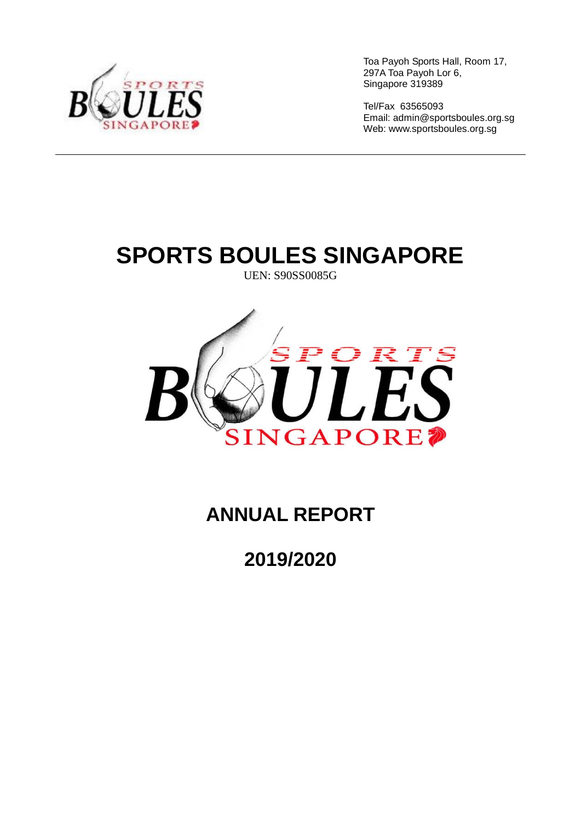

Tel/Fax 63565093 Email: [admin@sportsboules.org.sg](mailto:admin@sportsboules.org.sg) Web: www.sportsboules.org.sg

# **SPORTS BOULES SINGAPORE**

UEN: S90SS0085G



# **ANNUAL REPORT**

**2019/2020**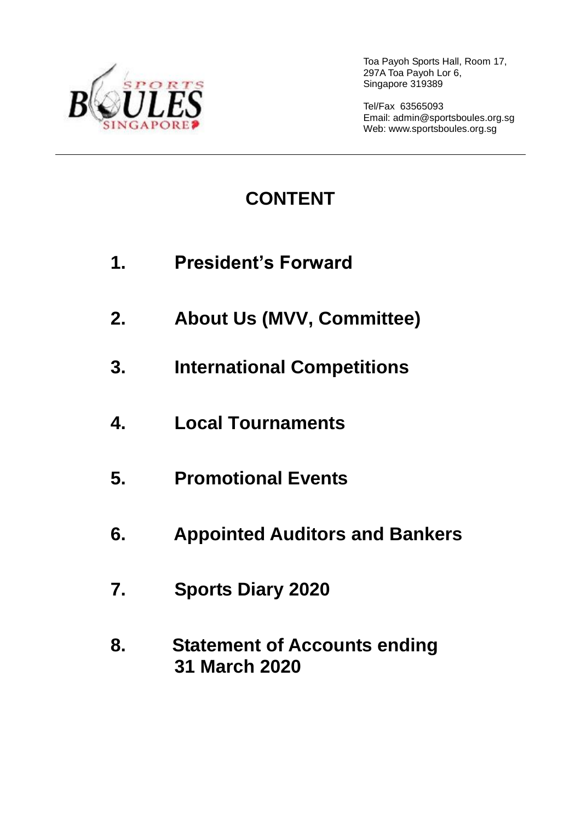

Tel/Fax 63565093 Email: [admin@sportsboules.org.sg](mailto:admin@sportsboules.org.sg) Web: www.sportsboules.org.sg

# **CONTENT**

- **1. President's Forward**
- **2. About Us (MVV, Committee)**
- **3. International Competitions**
- **4. Local Tournaments**
- **5. Promotional Events**
- **6. Appointed Auditors and Bankers**
- **7. Sports Diary 2020**
- **8. Statement of Accounts ending 31 March 2020**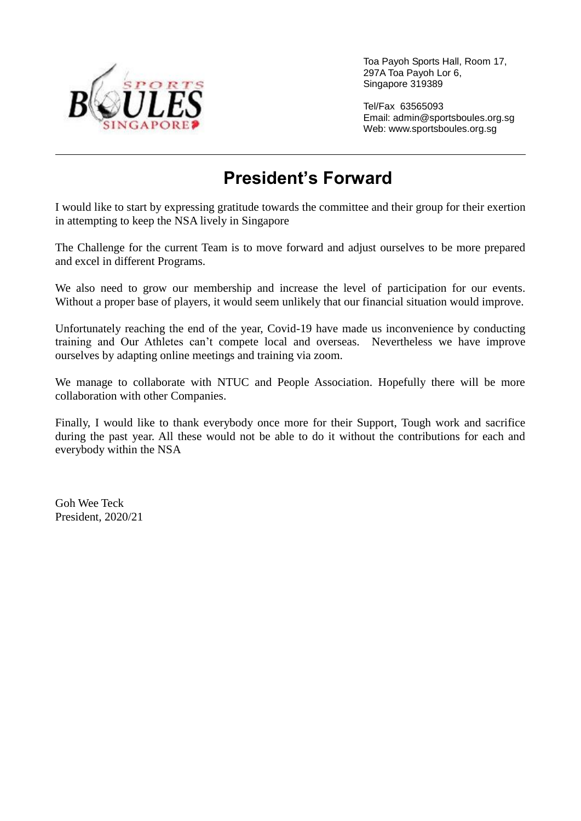

Tel/Fax 63565093 Email: [admin@sportsboules.org.sg](mailto:admin@sportsboules.org.sg) Web: www.sportsboules.org.sg

### **President's Forward**

I would like to start by expressing gratitude towards the committee and their group for their exertion in attempting to keep the NSA lively in Singapore

The Challenge for the current Team is to move forward and adjust ourselves to be more prepared and excel in different Programs.

We also need to grow our membership and increase the level of participation for our events. Without a proper base of players, it would seem unlikely that our financial situation would improve.

Unfortunately reaching the end of the year, Covid-19 have made us inconvenience by conducting training and Our Athletes can't compete local and overseas. Nevertheless we have improve ourselves by adapting online meetings and training via zoom.

We manage to collaborate with NTUC and People Association. Hopefully there will be more collaboration with other Companies.

Finally, I would like to thank everybody once more for their Support, Tough work and sacrifice during the past year. All these would not be able to do it without the contributions for each and everybody within the NSA

Goh Wee Teck President, 2020/21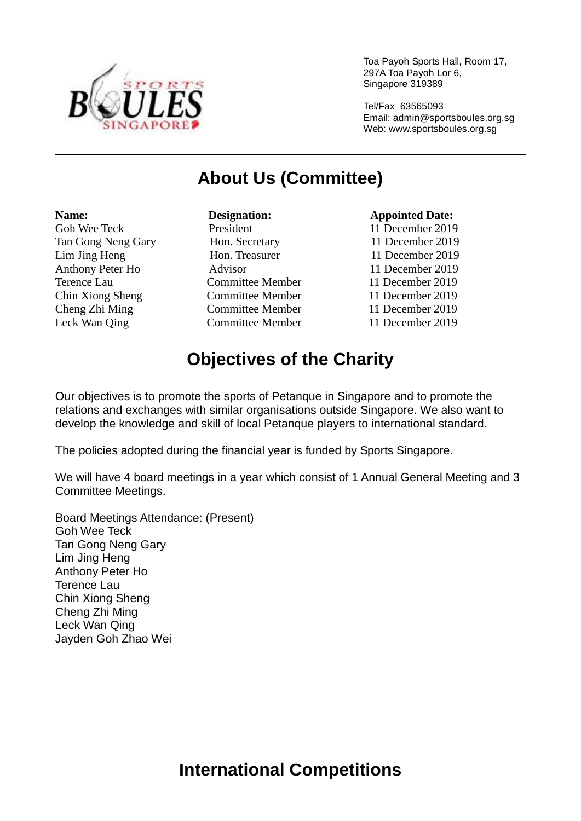

Tel/Fax 63565093 Email: [admin@sportsboules.org.sg](mailto:admin@sportsboules.org.sg) Web: www.sportsboules.org.sg

### **About Us (Committee)**

#### **Name: Constanting Designation: Constanting Appointed Date: Appointed Date:** Goh Wee Teck President 11 December 2019 Tan Gong Neng Gary Hon. Secretary 11 December 2019 Lim Jing Heng Hon. Treasurer 11 December 2019 Anthony Peter Ho Advisor 11 December 2019 Terence Lau Committee Member 11 December 2019 Chin Xiong Sheng Committee Member 11 December 2019 Cheng Zhi Ming Committee Member 11 December 2019 Leck Wan Qing Committee Member 11 December 2019

### **Objectives of the Charity**

Our objectives is to promote the sports of Petanque in Singapore and to promote the relations and exchanges with similar organisations outside Singapore. We also want to develop the knowledge and skill of local Petanque players to international standard.

The policies adopted during the financial year is funded by Sports Singapore.

We will have 4 board meetings in a year which consist of 1 Annual General Meeting and 3 Committee Meetings.

Board Meetings Attendance: (Present) Goh Wee Teck Tan Gong Neng Gary Lim Jing Heng Anthony Peter Ho Terence Lau Chin Xiong Sheng Cheng Zhi Ming Leck Wan Qing Jayden Goh Zhao Wei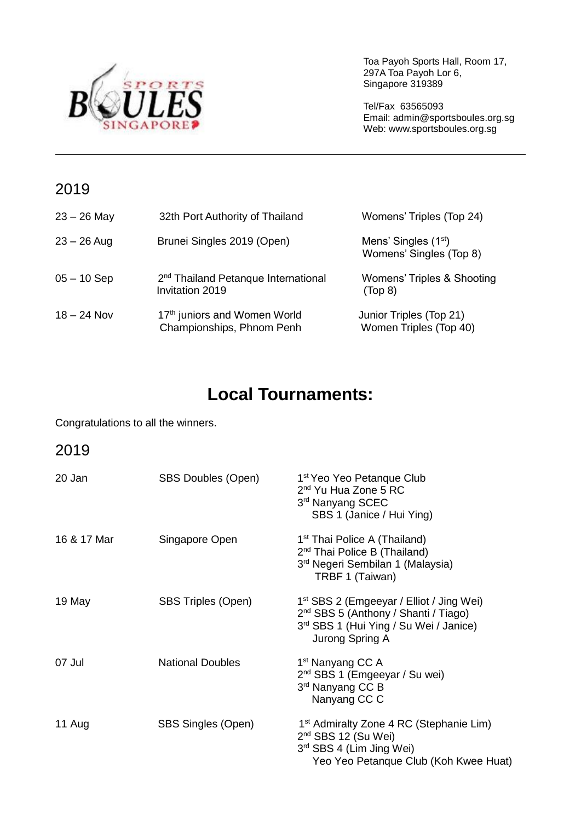

Tel/Fax 63565093 Email: [admin@sportsboules.org.sg](mailto:admin@sportsboules.org.sg) Web: www.sportsboules.org.sg

### 2019

| $23 - 26$ May | 32th Port Authority of Thailand                                       | Womens' Triples (Top 24)                                    |
|---------------|-----------------------------------------------------------------------|-------------------------------------------------------------|
| $23 - 26$ Aug | Brunei Singles 2019 (Open)                                            | Mens' Singles (1 <sup>st</sup> )<br>Womens' Singles (Top 8) |
| $05 - 10$ Sep | 2 <sup>nd</sup> Thailand Petanque International<br>Invitation 2019    | Womens' Triples & Shooting<br>(Top <sub>8</sub> )           |
| $18 - 24$ Nov | 17 <sup>th</sup> juniors and Women World<br>Championships, Phnom Penh | Junior Triples (Top 21)<br>Women Triples (Top 40)           |

### **Local Tournaments:**

Congratulations to all the winners.

### 2019

| 20 Jan      | <b>SBS Doubles (Open)</b> | 1 <sup>st</sup> Yeo Yeo Petanque Club<br>2 <sup>nd</sup> Yu Hua Zone 5 RC<br>3rd Nanyang SCEC<br>SBS 1 (Janice / Hui Ying)                                            |
|-------------|---------------------------|-----------------------------------------------------------------------------------------------------------------------------------------------------------------------|
| 16 & 17 Mar | Singapore Open            | 1 <sup>st</sup> Thai Police A (Thailand)<br>2 <sup>nd</sup> Thai Police B (Thailand)<br>3 <sup>rd</sup> Negeri Sembilan 1 (Malaysia)<br>TRBF 1 (Taiwan)               |
| 19 May      | SBS Triples (Open)        | 1 <sup>st</sup> SBS 2 (Emgeeyar / Elliot / Jing Wei)<br>2 <sup>nd</sup> SBS 5 (Anthony / Shanti / Tiago)<br>3rd SBS 1 (Hui Ying / Su Wei / Janice)<br>Jurong Spring A |
| 07 Jul      | <b>National Doubles</b>   | 1 <sup>st</sup> Nanyang CC A<br>2 <sup>nd</sup> SBS 1 (Emgeeyar / Su wei)<br>3rd Nanyang CC B<br>Nanyang CC C                                                         |
| 11 Aug      | <b>SBS Singles (Open)</b> | 1 <sup>st</sup> Admiralty Zone 4 RC (Stephanie Lim)<br>$2nd$ SBS 12 (Su Wei)<br>3rd SBS 4 (Lim Jing Wei)<br>Yeo Yeo Petanque Club (Koh Kwee Huat)                     |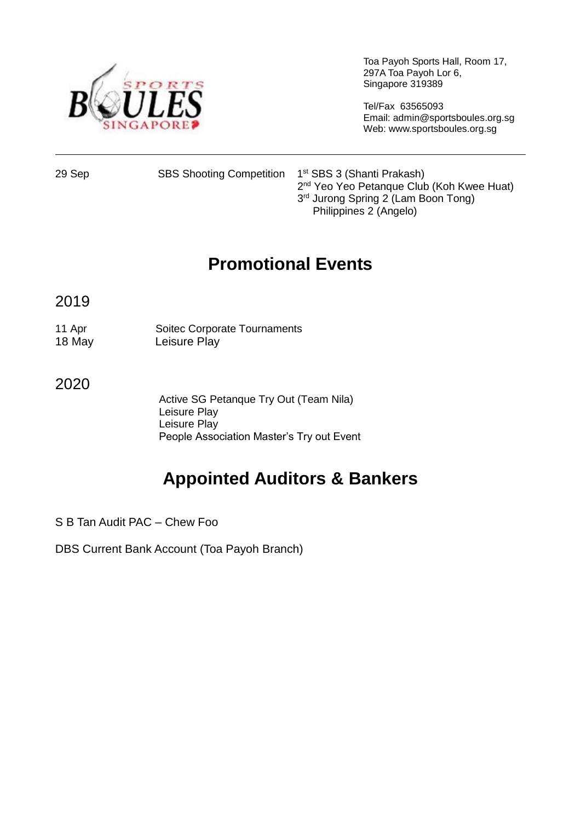

Tel/Fax 63565093 Email: [admin@sportsboules.org.sg](mailto:admin@sportsboules.org.sg) Web: www.sportsboules.org.sg

29 Sep SBS Shooting Competition 1<sup>st</sup> SBS 3 (Shanti Prakash) 2<sup>nd</sup> Yeo Yeo Petanque Club (Koh Kwee Huat) 3<sup>rd</sup> Jurong Spring 2 (Lam Boon Tong) Philippines 2 (Angelo)

### **Promotional Events**

2019

11 Apr Soitec Corporate Tournaments 18 May Leisure Play

2020

Active SG Petanque Try Out (Team Nila) Leisure Play Leisure Play People Association Master's Try out Event

# **Appointed Auditors & Bankers**

S B Tan Audit PAC – Chew Foo

DBS Current Bank Account (Toa Payoh Branch)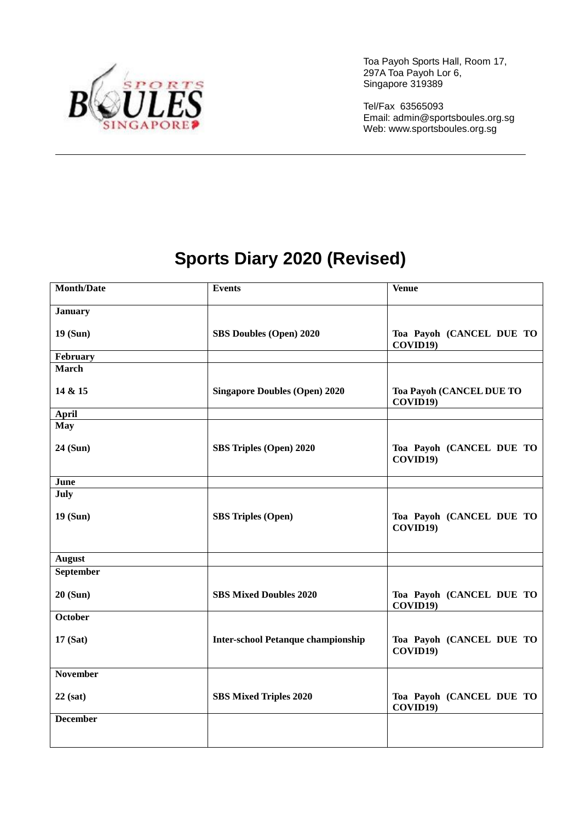

Tel/Fax 63565093 Email: [admin@sportsboules.org.sg](mailto:admin@sportsboules.org.sg) Web: www.sportsboules.org.sg

# **Sports Diary 2020 (Revised)**

| <b>Month/Date</b> | <b>Events</b>                             | <b>Venue</b>                         |  |
|-------------------|-------------------------------------------|--------------------------------------|--|
| <b>January</b>    |                                           |                                      |  |
| 19 (Sun)          | SBS Doubles (Open) 2020                   | Toa Payoh (CANCEL DUE TO<br>COVID19) |  |
| February          |                                           |                                      |  |
| <b>March</b>      |                                           |                                      |  |
| 14 & 15           | <b>Singapore Doubles (Open) 2020</b>      | Toa Payoh (CANCEL DUE TO<br>COVID19) |  |
| April             |                                           |                                      |  |
| <b>May</b>        |                                           |                                      |  |
| 24 (Sun)          | SBS Triples (Open) 2020                   | Toa Payoh (CANCEL DUE TO<br>COVID19) |  |
| June              |                                           |                                      |  |
| July              |                                           |                                      |  |
| 19(Sun)           | <b>SBS Triples (Open)</b>                 | Toa Payoh (CANCEL DUE TO<br>COVID19) |  |
| <b>August</b>     |                                           |                                      |  |
| <b>September</b>  |                                           |                                      |  |
| 20 (Sun)          | <b>SBS Mixed Doubles 2020</b>             | Toa Payoh (CANCEL DUE TO<br>COVID19) |  |
| October           |                                           |                                      |  |
| 17(Sat)           | <b>Inter-school Petanque championship</b> | Toa Payoh (CANCEL DUE TO<br>COVID19) |  |
| November          |                                           |                                      |  |
| $22$ (sat)        | <b>SBS Mixed Triples 2020</b>             | Toa Payoh (CANCEL DUE TO<br>COVID19) |  |
| <b>December</b>   |                                           |                                      |  |
|                   |                                           |                                      |  |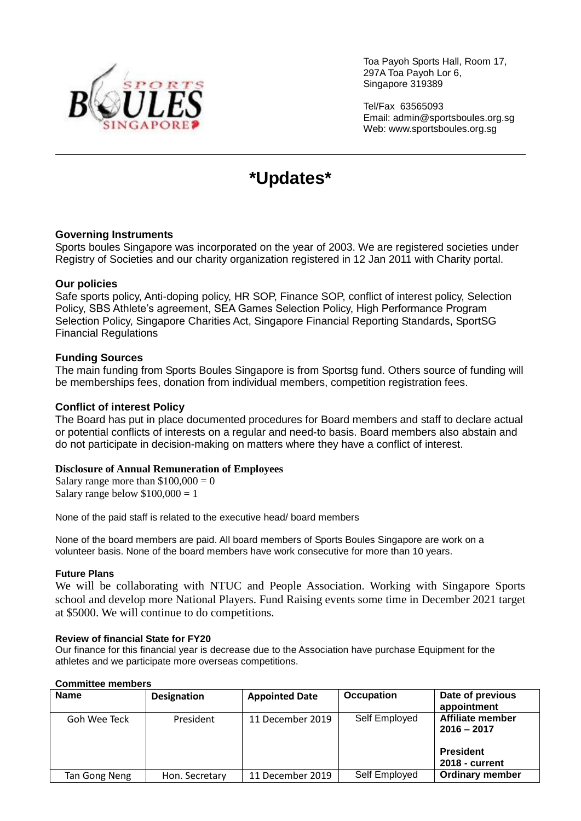

Tel/Fax 63565093 Email: [admin@sportsboules.org.sg](mailto:admin@sportsboules.org.sg) Web: www.sportsboules.org.sg

### **\*Updates\***

#### **Governing Instruments**

Sports boules Singapore was incorporated on the year of 2003. We are registered societies under Registry of Societies and our charity organization registered in 12 Jan 2011 with Charity portal.

#### **Our policies**

Safe sports policy, Anti-doping policy, HR SOP, Finance SOP, conflict of interest policy, Selection Policy, SBS Athlete's agreement, SEA Games Selection Policy, High Performance Program Selection Policy, Singapore Charities Act, Singapore Financial Reporting Standards, SportSG Financial Regulations

#### **Funding Sources**

The main funding from Sports Boules Singapore is from Sportsg fund. Others source of funding will be memberships fees, donation from individual members, competition registration fees.

#### **Conflict of interest Policy**

The Board has put in place documented procedures for Board members and staff to declare actual or potential conflicts of interests on a regular and need-to basis. Board members also abstain and do not participate in decision-making on matters where they have a conflict of interest.

#### **Disclosure of Annual Remuneration of Employees**

Salary range more than  $$100,000 = 0$ Salary range below  $$100,000 = 1$ 

None of the paid staff is related to the executive head/ board members

None of the board members are paid. All board members of Sports Boules Singapore are work on a volunteer basis. None of the board members have work consecutive for more than 10 years.

#### **Future Plans**

We will be collaborating with NTUC and People Association. Working with Singapore Sports school and develop more National Players. Fund Raising events some time in December 2021 target at \$5000. We will continue to do competitions.

#### **Review of financial State for FY20**

Our finance for this financial year is decrease due to the Association have purchase Equipment for the athletes and we participate more overseas competitions.

### **Name Designation Appointed Date Occupation Date of previous appointment** Goh Wee Teck President 11 December 2019 Self Employed **Affiliate member 2016 – 2017 President 2018 - current** Tan Gong Neng | Hon. Secretary | 11 December 2019 | Self Employed | Ordinary member

#### **Committee members**